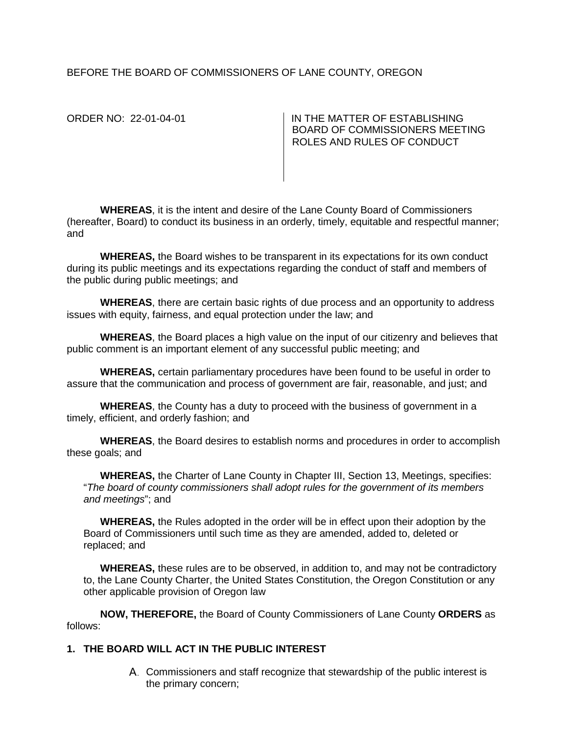# BEFORE THE BOARD OF COMMISSIONERS OF LANE COUNTY, OREGON

ORDER NO: 22-01-04-01 IN THE MATTER OF ESTABLISHING BOARD OF COMMISSIONERS MEETING ROLES AND RULES OF CONDUCT

**WHEREAS**, it is the intent and desire of the Lane County Board of Commissioners (hereafter, Board) to conduct its business in an orderly, timely, equitable and respectful manner; and

**WHEREAS,** the Board wishes to be transparent in its expectations for its own conduct during its public meetings and its expectations regarding the conduct of staff and members of the public during public meetings; and

**WHEREAS**, there are certain basic rights of due process and an opportunity to address issues with equity, fairness, and equal protection under the law; and

**WHEREAS**, the Board places a high value on the input of our citizenry and believes that public comment is an important element of any successful public meeting; and

**WHEREAS,** certain parliamentary procedures have been found to be useful in order to assure that the communication and process of government are fair, reasonable, and just; and

**WHEREAS**, the County has a duty to proceed with the business of government in a timely, efficient, and orderly fashion; and

**WHEREAS**, the Board desires to establish norms and procedures in order to accomplish these goals; and

**WHEREAS,** the Charter of Lane County in Chapter III, Section 13, Meetings, specifies: "*The board of county commissioners shall adopt rules for the government of its members and meetings*"; and

**WHEREAS,** the Rules adopted in the order will be in effect upon their adoption by the Board of Commissioners until such time as they are amended, added to, deleted or replaced; and

**WHEREAS,** these rules are to be observed, in addition to, and may not be contradictory to, the Lane County Charter, the United States Constitution, the Oregon Constitution or any other applicable provision of Oregon law

**NOW, THEREFORE,** the Board of County Commissioners of Lane County **ORDERS** as follows:

## **1. THE BOARD WILL ACT IN THE PUBLIC INTEREST**

Commissioners and staff recognize that stewardship of the public interest is the primary concern;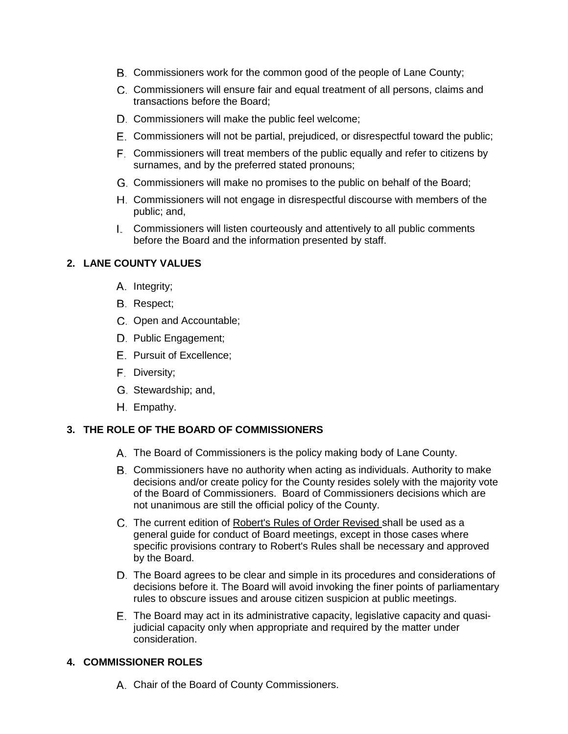- Commissioners work for the common good of the people of Lane County;
- C. Commissioners will ensure fair and equal treatment of all persons, claims and transactions before the Board;
- D. Commissioners will make the public feel welcome;
- Commissioners will not be partial, prejudiced, or disrespectful toward the public;
- Commissioners will treat members of the public equally and refer to citizens by surnames, and by the preferred stated pronouns;
- Commissioners will make no promises to the public on behalf of the Board;
- Commissioners will not engage in disrespectful discourse with members of the public; and,
- Commissioners will listen courteously and attentively to all public comments before the Board and the information presented by staff.

# **2. LANE COUNTY VALUES**

- A. Integrity;
- B. Respect;
- C. Open and Accountable;
- D. Public Engagement;
- E. Pursuit of Excellence;
- F. Diversity;
- G. Stewardship; and,
- H. Empathy.

# **3. THE ROLE OF THE BOARD OF COMMISSIONERS**

- The Board of Commissioners is the policy making body of Lane County.
- Commissioners have no authority when acting as individuals. Authority to make decisions and/or create policy for the County resides solely with the majority vote of the Board of Commissioners. Board of Commissioners decisions which are not unanimous are still the official policy of the County.
- The current edition of Robert's Rules of Order Revised shall be used as a general guide for conduct of Board meetings, except in those cases where specific provisions contrary to Robert's Rules shall be necessary and approved by the Board.
- D. The Board agrees to be clear and simple in its procedures and considerations of decisions before it. The Board will avoid invoking the finer points of parliamentary rules to obscure issues and arouse citizen suspicion at public meetings.
- The Board may act in its administrative capacity, legislative capacity and quasijudicial capacity only when appropriate and required by the matter under consideration.

### **4. COMMISSIONER ROLES**

Chair of the Board of County Commissioners.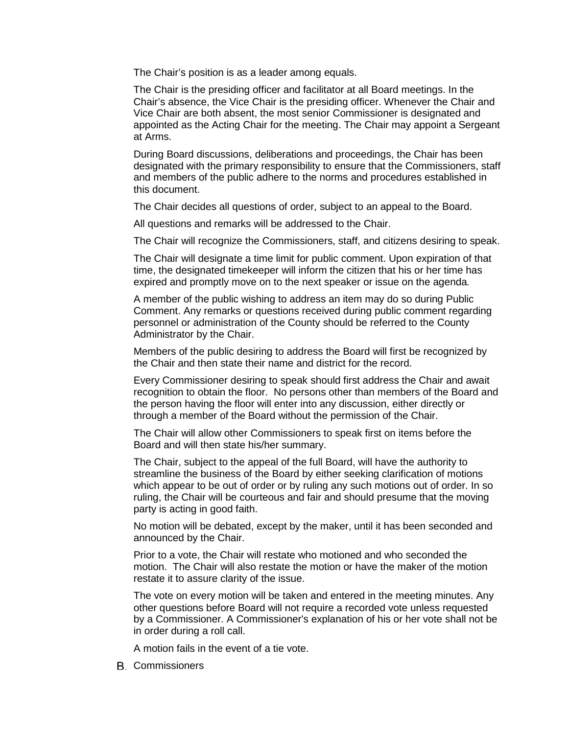The Chair's position is as a leader among equals.

The Chair is the presiding officer and facilitator at all Board meetings. In the Chair's absence, the Vice Chair is the presiding officer. Whenever the Chair and Vice Chair are both absent, the most senior Commissioner is designated and appointed as the Acting Chair for the meeting. The Chair may appoint a Sergeant at Arms.

During Board discussions, deliberations and proceedings, the Chair has been designated with the primary responsibility to ensure that the Commissioners, staff and members of the public adhere to the norms and procedures established in this document.

The Chair decides all questions of order, subject to an appeal to the Board.

All questions and remarks will be addressed to the Chair.

The Chair will recognize the Commissioners, staff, and citizens desiring to speak.

The Chair will designate a time limit for public comment. Upon expiration of that time, the designated timekeeper will inform the citizen that his or her time has expired and promptly move on to the next speaker or issue on the agenda*.*

A member of the public wishing to address an item may do so during Public Comment. Any remarks or questions received during public comment regarding personnel or administration of the County should be referred to the County Administrator by the Chair.

Members of the public desiring to address the Board will first be recognized by the Chair and then state their name and district for the record.

Every Commissioner desiring to speak should first address the Chair and await recognition to obtain the floor. No persons other than members of the Board and the person having the floor will enter into any discussion, either directly or through a member of the Board without the permission of the Chair.

The Chair will allow other Commissioners to speak first on items before the Board and will then state his/her summary.

The Chair, subject to the appeal of the full Board, will have the authority to streamline the business of the Board by either seeking clarification of motions which appear to be out of order or by ruling any such motions out of order. In so ruling, the Chair will be courteous and fair and should presume that the moving party is acting in good faith.

No motion will be debated, except by the maker, until it has been seconded and announced by the Chair.

Prior to a vote, the Chair will restate who motioned and who seconded the motion. The Chair will also restate the motion or have the maker of the motion restate it to assure clarity of the issue.

The vote on every motion will be taken and entered in the meeting minutes. Any other questions before Board will not require a recorded vote unless requested by a Commissioner. A Commissioner's explanation of his or her vote shall not be in order during a roll call.

A motion fails in the event of a tie vote.

Commissioners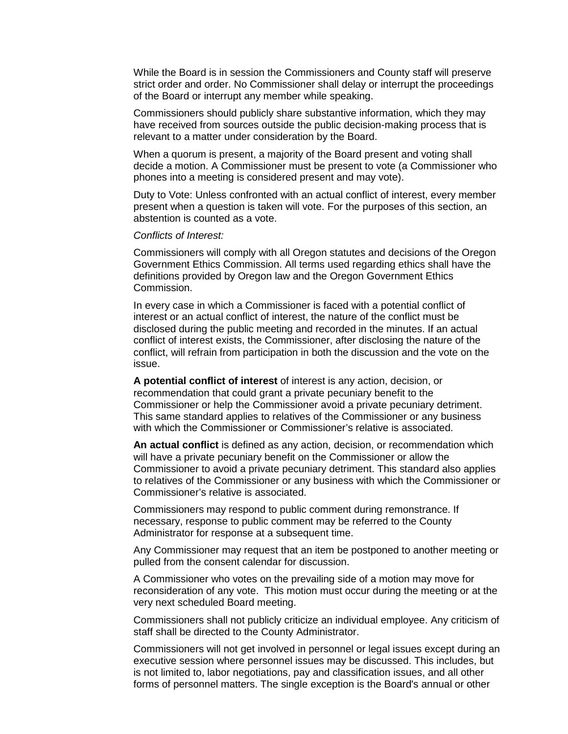While the Board is in session the Commissioners and County staff will preserve strict order and order. No Commissioner shall delay or interrupt the proceedings of the Board or interrupt any member while speaking.

Commissioners should publicly share substantive information, which they may have received from sources outside the public decision-making process that is relevant to a matter under consideration by the Board.

When a quorum is present, a majority of the Board present and voting shall decide a motion. A Commissioner must be present to vote (a Commissioner who phones into a meeting is considered present and may vote).

Duty to Vote: Unless confronted with an actual conflict of interest, every member present when a question is taken will vote. For the purposes of this section, an abstention is counted as a vote.

#### *Conflicts of Interest:*

Commissioners will comply with all Oregon statutes and decisions of the Oregon Government Ethics Commission. All terms used regarding ethics shall have the definitions provided by Oregon law and the Oregon Government Ethics Commission.

In every case in which a Commissioner is faced with a potential conflict of interest or an actual conflict of interest, the nature of the conflict must be disclosed during the public meeting and recorded in the minutes. If an actual conflict of interest exists, the Commissioner, after disclosing the nature of the conflict, will refrain from participation in both the discussion and the vote on the issue.

**A potential conflict of interest** of interest is any action, decision, or recommendation that could grant a private pecuniary benefit to the Commissioner or help the Commissioner avoid a private pecuniary detriment. This same standard applies to relatives of the Commissioner or any business with which the Commissioner or Commissioner's relative is associated.

**An actual conflict** is defined as any action, decision, or recommendation which will have a private pecuniary benefit on the Commissioner or allow the Commissioner to avoid a private pecuniary detriment. This standard also applies to relatives of the Commissioner or any business with which the Commissioner or Commissioner's relative is associated.

Commissioners may respond to public comment during remonstrance. If necessary, response to public comment may be referred to the County Administrator for response at a subsequent time.

Any Commissioner may request that an item be postponed to another meeting or pulled from the consent calendar for discussion.

A Commissioner who votes on the prevailing side of a motion may move for reconsideration of any vote. This motion must occur during the meeting or at the very next scheduled Board meeting.

Commissioners shall not publicly criticize an individual employee. Any criticism of staff shall be directed to the County Administrator.

Commissioners will not get involved in personnel or legal issues except during an executive session where personnel issues may be discussed. This includes, but is not limited to, labor negotiations, pay and classification issues, and all other forms of personnel matters. The single exception is the Board's annual or other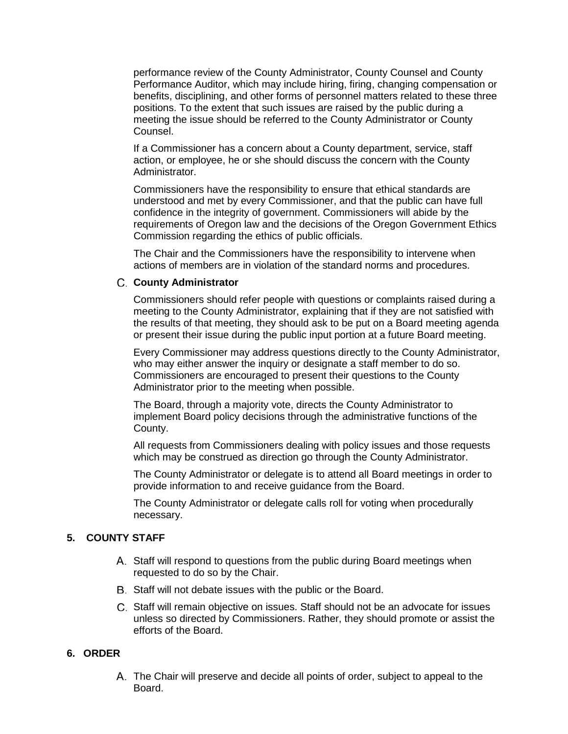performance review of the County Administrator, County Counsel and County Performance Auditor, which may include hiring, firing, changing compensation or benefits, disciplining, and other forms of personnel matters related to these three positions. To the extent that such issues are raised by the public during a meeting the issue should be referred to the County Administrator or County Counsel.

If a Commissioner has a concern about a County department, service, staff action, or employee, he or she should discuss the concern with the County Administrator.

Commissioners have the responsibility to ensure that ethical standards are understood and met by every Commissioner, and that the public can have full confidence in the integrity of government. Commissioners will abide by the requirements of Oregon law and the decisions of the Oregon Government Ethics Commission regarding the ethics of public officials.

The Chair and the Commissioners have the responsibility to intervene when actions of members are in violation of the standard norms and procedures.

### **County Administrator**

Commissioners should refer people with questions or complaints raised during a meeting to the County Administrator, explaining that if they are not satisfied with the results of that meeting, they should ask to be put on a Board meeting agenda or present their issue during the public input portion at a future Board meeting.

Every Commissioner may address questions directly to the County Administrator, who may either answer the inquiry or designate a staff member to do so. Commissioners are encouraged to present their questions to the County Administrator prior to the meeting when possible.

The Board, through a majority vote, directs the County Administrator to implement Board policy decisions through the administrative functions of the County.

All requests from Commissioners dealing with policy issues and those requests which may be construed as direction go through the County Administrator.

The County Administrator or delegate is to attend all Board meetings in order to provide information to and receive guidance from the Board.

The County Administrator or delegate calls roll for voting when procedurally necessary.

# **5. COUNTY STAFF**

- A. Staff will respond to questions from the public during Board meetings when requested to do so by the Chair.
- Staff will not debate issues with the public or the Board.
- C. Staff will remain objective on issues. Staff should not be an advocate for issues unless so directed by Commissioners. Rather, they should promote or assist the efforts of the Board.

## **6. ORDER**

The Chair will preserve and decide all points of order, subject to appeal to the Board.